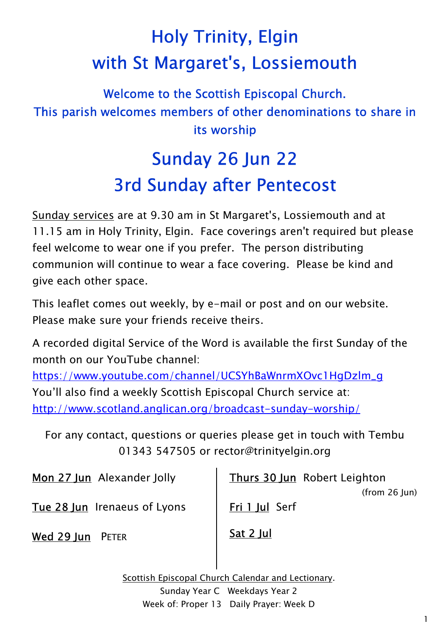# Holy Trinity, Elgin with St Margaret's, Lossiemouth

Welcome to the Scottish Episcopal Church. This parish welcomes members of other denominations to share in its worship

## Sunday 26 Jun 22 3rd Sunday after Pentecost

Sunday services are at 9.30 am in St Margaret's, Lossiemouth and at 11.15 am in Holy Trinity, Elgin. Face coverings aren't required but please feel welcome to wear one if you prefer. The person distributing communion will continue to wear a face covering. Please be kind and give each other space.

This leaflet comes out weekly, by e-mail or post and on our website. Please make sure your friends receive theirs.

A recorded digital Service of the Word is available the first Sunday of the month on our YouTube channel:

https://www.youtube.com/channel/UCSYhBaWnrmXOvc1HgDzlm\_g You'll also find a weekly Scottish Episcopal Church service at: http://www.scotland.anglican.org/broadcast-sunday-worship/

For any contact, questions or queries please get in touch with Tembu 01343 547505 or rector@trinityelgin.org

Mon 27 Jun Alexander Jolly

Thurs 30 Jun Robert Leighton

 $(from 26$   $lun)$ 

Tue 28 Jun Irenaeus of Lyons

Fri 1 Jul Serf

Sat 2 Jul

Wed 29 Iun PETER

Scottish Episcopal Church Calendar and Lectionary. Sunday Year C Weekdays Year 2 Week of: Proper 13 Daily Prayer: Week D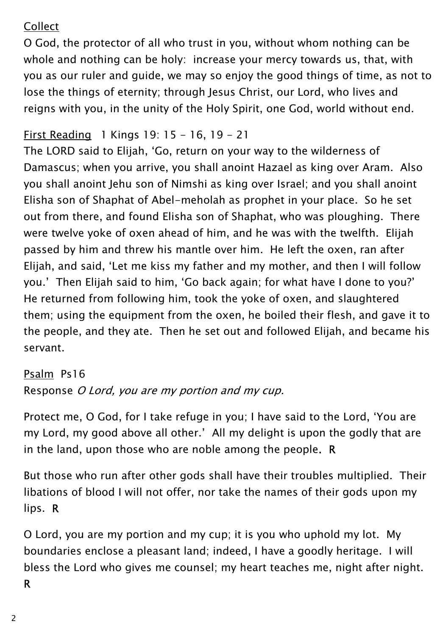### Collect

O God, the protector of all who trust in you, without whom nothing can be whole and nothing can be holy: increase your mercy towards us, that, with you as our ruler and guide, we may so enjoy the good things of time, as not to lose the things of eternity; through Jesus Christ, our Lord, who lives and reigns with you, in the unity of the Holy Spirit, one God, world without end.

### First Reading 1 Kings 19: 15 - 16, 19 - 21

The LORD said to Elijah, 'Go, return on your way to the wilderness of Damascus; when you arrive, you shall anoint Hazael as king over Aram. Also you shall anoint Jehu son of Nimshi as king over Israel; and you shall anoint Elisha son of Shaphat of Abel-meholah as prophet in your place. So he set out from there, and found Elisha son of Shaphat, who was ploughing. There were twelve yoke of oxen ahead of him, and he was with the twelfth. Elijah passed by him and threw his mantle over him. He left the oxen, ran after Elijah, and said, 'Let me kiss my father and my mother, and then I will follow you.' Then Elijah said to him, 'Go back again; for what have I done to you?' He returned from following him, took the yoke of oxen, and slaughtered them; using the equipment from the oxen, he boiled their flesh, and gave it to the people, and they ate. Then he set out and followed Elijah, and became his servant.

#### Psalm Ps16

Response O Lord, you are my portion and my cup.

Protect me, O God, for I take refuge in you; I have said to the Lord, 'You are my Lord, my good above all other.' All my delight is upon the godly that are in the land, upon those who are noble among the people. R

But those who run after other gods shall have their troubles multiplied. Their libations of blood I will not offer, nor take the names of their gods upon my lips. R

O Lord, you are my portion and my cup; it is you who uphold my lot. My boundaries enclose a pleasant land; indeed, I have a goodly heritage. I will bless the Lord who gives me counsel; my heart teaches me, night after night.

#### R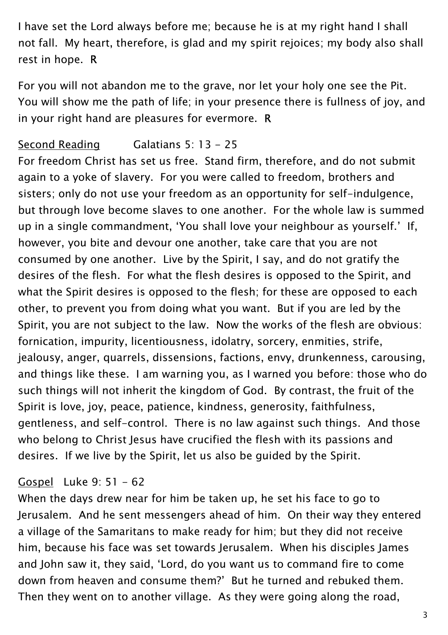I have set the Lord always before me; because he is at my right hand I shall not fall. My heart, therefore, is glad and my spirit rejoices; my body also shall rest in hope. R

For you will not abandon me to the grave, nor let your holy one see the Pit. You will show me the path of life; in your presence there is fullness of joy, and in your right hand are pleasures for evermore. R

#### Second Reading Galatians 5: 13 - 25

For freedom Christ has set us free. Stand firm, therefore, and do not submit again to a yoke of slavery. For you were called to freedom, brothers and sisters; only do not use your freedom as an opportunity for self-indulgence, but through love become slaves to one another. For the whole law is summed up in a single commandment, 'You shall love your neighbour as yourself.' If, however, you bite and devour one another, take care that you are not consumed by one another. Live by the Spirit, I say, and do not gratify the desires of the flesh. For what the flesh desires is opposed to the Spirit, and what the Spirit desires is opposed to the flesh; for these are opposed to each other, to prevent you from doing what you want. But if you are led by the Spirit, you are not subject to the law. Now the works of the flesh are obvious: fornication, impurity, licentiousness, idolatry, sorcery, enmities, strife, jealousy, anger, quarrels, dissensions, factions, envy, drunkenness, carousing, and things like these. I am warning you, as I warned you before: those who do such things will not inherit the kingdom of God. By contrast, the fruit of the Spirit is love, joy, peace, patience, kindness, generosity, faithfulness, gentleness, and self-control. There is no law against such things. And those who belong to Christ Jesus have crucified the flesh with its passions and desires. If we live by the Spirit, let us also be quided by the Spirit.

#### Gospel Luke 9: 51 - 62

When the days drew near for him be taken up, he set his face to go to Jerusalem. And he sent messengers ahead of him. On their way they entered a village of the Samaritans to make ready for him; but they did not receive him, because his face was set towards Jerusalem. When his disciples James and John saw it, they said, 'Lord, do you want us to command fire to come down from heaven and consume them?' But he turned and rebuked them. Then they went on to another village. As they were going along the road,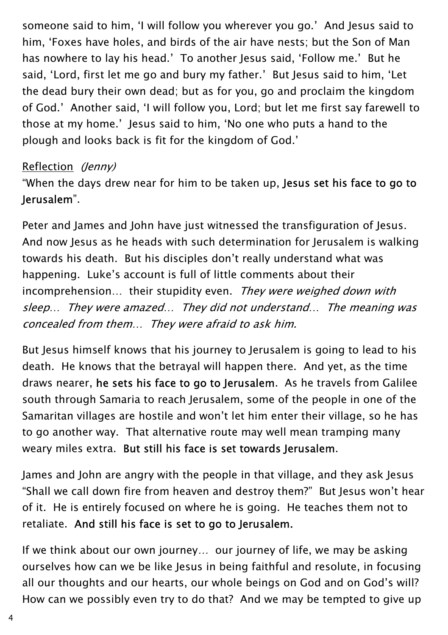someone said to him, 'I will follow you wherever you go.' And Jesus said to him, 'Foxes have holes, and birds of the air have nests; but the Son of Man has nowhere to lay his head.' To another Jesus said, 'Follow me.' But he said, 'Lord, first let me go and bury my father.' But Jesus said to him, 'Let the dead bury their own dead; but as for you, go and proclaim the kingdom of God.' Another said, 'I will follow you, Lord; but let me first say farewell to those at my home.' Jesus said to him, 'No one who puts a hand to the plough and looks back is fit for the kingdom of God.'

#### Reflection (Jenny)

"When the days drew near for him to be taken up, Jesus set his face to go to Jerusalem".

Peter and James and John have just witnessed the transfiguration of Jesus. And now Jesus as he heads with such determination for Jerusalem is walking towards his death. But his disciples don't really understand what was happening. Luke's account is full of little comments about their incomprehension... their stupidity even. They were weighed down with sleep… They were amazed… They did not understand… The meaning was concealed from them… They were afraid to ask him.

But Jesus himself knows that his journey to Jerusalem is going to lead to his death. He knows that the betrayal will happen there. And yet, as the time draws nearer, he sets his face to go to Jerusalem. As he travels from Galilee south through Samaria to reach Jerusalem, some of the people in one of the Samaritan villages are hostile and won't let him enter their village, so he has to go another way. That alternative route may well mean tramping many weary miles extra. But still his face is set towards Jerusalem.

James and John are angry with the people in that village, and they ask Jesus "Shall we call down fire from heaven and destroy them?" But Jesus won't hear of it. He is entirely focused on where he is going. He teaches them not to retaliate. And still his face is set to go to Jerusalem.

If we think about our own journey… our journey of life, we may be asking ourselves how can we be like Jesus in being faithful and resolute, in focusing all our thoughts and our hearts, our whole beings on God and on God's will? How can we possibly even try to do that? And we may be tempted to give up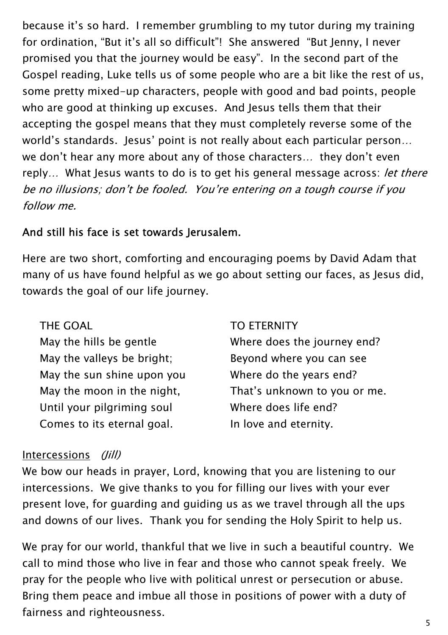because it's so hard. I remember grumbling to my tutor during my training for ordination, "But it's all so difficult"! She answered "But Jenny, I never promised you that the journey would be easy". In the second part of the Gospel reading, Luke tells us of some people who are a bit like the rest of us, some pretty mixed-up characters, people with good and bad points, people who are good at thinking up excuses. And Jesus tells them that their accepting the gospel means that they must completely reverse some of the world's standards. Jesus' point is not really about each particular person… we don't hear any more about any of those characters… they don't even reply... What Jesus wants to do is to get his general message across: *let there* be no illusions; don't be fooled. You're entering on a tough course if you follow me.

#### And still his face is set towards Jerusalem.

Here are two short, comforting and encouraging poems by David Adam that many of us have found helpful as we go about setting our faces, as Jesus did, towards the goal of our life journey.

THE GOAL May the hills be gentle May the valleys be bright; May the sun shine upon you May the moon in the night, Until your pilgriming soul Comes to its eternal goal.

#### TO ETERNITY

Where does the journey end? Beyond where you can see Where do the years end? That's unknown to you or me. Where does life end? In love and eternity.

#### Intercessions (Jill)

We bow our heads in prayer, Lord, knowing that you are listening to our intercessions. We give thanks to you for filling our lives with your ever present love, for guarding and guiding us as we travel through all the ups and downs of our lives. Thank you for sending the Holy Spirit to help us.

We pray for our world, thankful that we live in such a beautiful country. We call to mind those who live in fear and those who cannot speak freely. We pray for the people who live with political unrest or persecution or abuse. Bring them peace and imbue all those in positions of power with a duty of fairness and righteousness.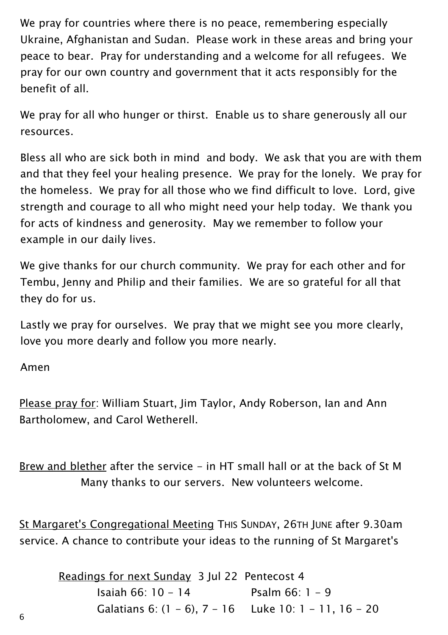We pray for countries where there is no peace, remembering especially Ukraine, Afghanistan and Sudan. Please work in these areas and bring your peace to bear. Pray for understanding and a welcome for all refugees. We pray for our own country and government that it acts responsibly for the benefit of all.

We pray for all who hunger or thirst. Enable us to share generously all our resources.

Bless all who are sick both in mind and body. We ask that you are with them and that they feel your healing presence. We pray for the lonely. We pray for the homeless. We pray for all those who we find difficult to love. Lord, give strength and courage to all who might need your help today. We thank you for acts of kindness and generosity. May we remember to follow your example in our daily lives.

We give thanks for our church community. We pray for each other and for Tembu, Jenny and Philip and their families. We are so grateful for all that they do for us.

Lastly we pray for ourselves. We pray that we might see you more clearly, love you more dearly and follow you more nearly.

Amen

Please pray for: William Stuart, Jim Taylor, Andy Roberson, Ian and Ann Bartholomew, and Carol Wetherell.

Brew and blether after the service - in HT small hall or at the back of St M Many thanks to our servers. New volunteers welcome.

St Margaret's Congregational Meeting THIS SUNDAY, 26TH JUNE after 9.30am service. A chance to contribute your ideas to the running of St Margaret's

| Readings for next Sunday 3 Jul 22 Pentecost 4              |                  |
|------------------------------------------------------------|------------------|
| Isaiah 66: 10 - 14                                         | Psalm $66:1 - 9$ |
| Galatians 6: $(1 - 6)$ , $7 - 16$ Luke 10: 1 - 11, 16 - 20 |                  |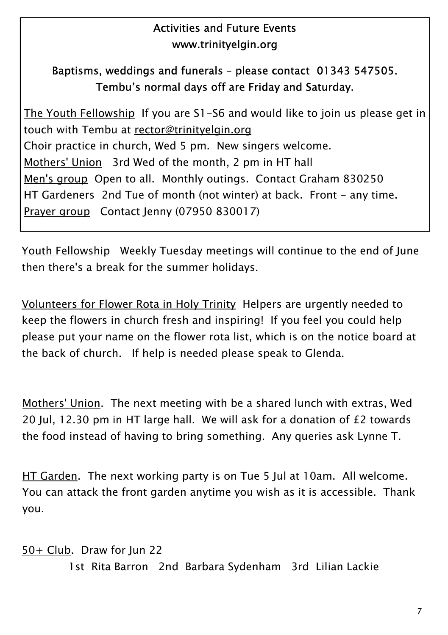## Activities and Future Events www.trinityelgin.org

## Baptisms, weddings and funerals – please contact 01343 547505. Tembu's normal days off are Friday and Saturday.

The Youth Fellowship If you are S1-S6 and would like to join us please get in touch with Tembu at rector@trinityelgin.org Choir practice in church, Wed 5 pm. New singers welcome. Mothers' Union 3rd Wed of the month, 2 pm in HT hall Men's group Open to all. Monthly outings. Contact Graham 830250 HT Gardeners 2nd Tue of month (not winter) at back. Front - any time. Prayer group Contact Jenny (07950 830017)

Youth Fellowship Weekly Tuesday meetings will continue to the end of June then there's a break for the summer holidays.

Volunteers for Flower Rota in Holy Trinity Helpers are urgently needed to keep the flowers in church fresh and inspiring! If you feel you could help please put your name on the flower rota list, which is on the notice board at the back of church. If help is needed please speak to Glenda.

Mothers' Union. The next meeting with be a shared lunch with extras, Wed 20 Jul, 12.30 pm in HT large hall. We will ask for a donation of  $E2$  towards the food instead of having to bring something. Any queries ask Lynne T.

HT Garden. The next working party is on Tue 5 Jul at 10am. All welcome. You can attack the front garden anytime you wish as it is accessible. Thank you.

50+ Club. Draw for Jun 22 1st Rita Barron 2nd Barbara Sydenham 3rd Lilian Lackie